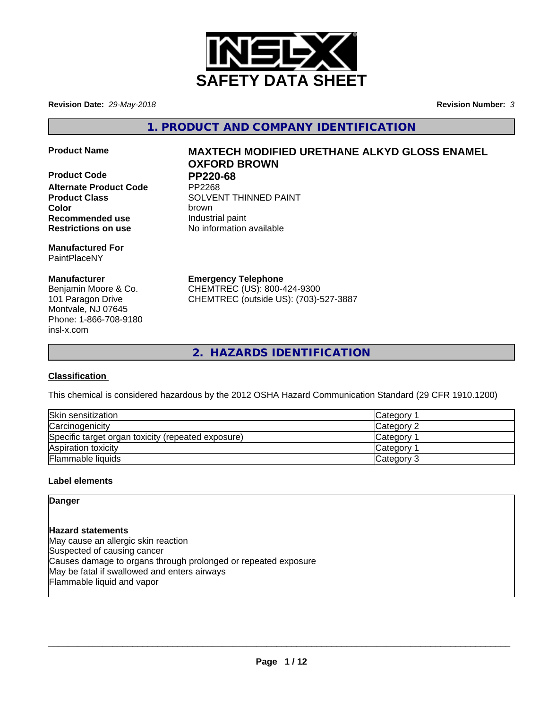

**Revision Date:** *29-May-2018* **Revision Number:** *3*

**1. PRODUCT AND COMPANY IDENTIFICATION**

- 
- **Product Code PP220-68 Alternate Product Code Recommended use Industrial paint Restrictions on use** No information available

**Manufactured For** PaintPlaceNY

# **Manufacturer**

Benjamin Moore & Co. 101 Paragon Drive Montvale, NJ 07645 Phone: 1-866-708-9180 insl-x.com

# **Product Name MAXTECH MODIFIED URETHANE ALKYD GLOSS ENAMEL OXFORD BROWN**

**Product Class SOLVENT THINNED PAINT Color** brown

**Emergency Telephone**

CHEMTREC (US): 800-424-9300 CHEMTREC (outside US): (703)-527-3887

**2. HAZARDS IDENTIFICATION**

# **Classification**

This chemical is considered hazardous by the 2012 OSHA Hazard Communication Standard (29 CFR 1910.1200)

| Skin sensitization                                 | Category        |
|----------------------------------------------------|-----------------|
| Carcinogenicity                                    | Category 2      |
| Specific target organ toxicity (repeated exposure) | <b>Category</b> |
| Aspiration toxicity                                | <b>Category</b> |
| Flammable liquids                                  | Category 3      |

# **Label elements**

**Danger**

**Hazard statements** May cause an allergic skin reaction Suspected of causing cancer Causes damage to organs through prolonged or repeated exposure May be fatal if swallowed and enters airways Flammable liquid and vapor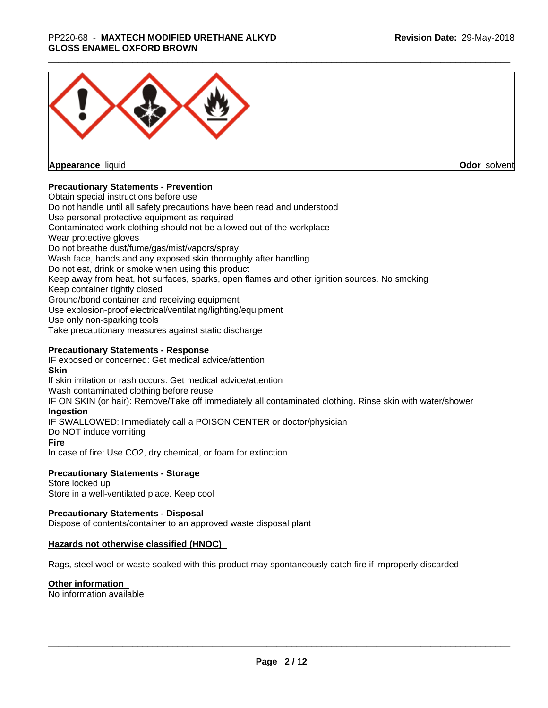## \_\_\_\_\_\_\_\_\_\_\_\_\_\_\_\_\_\_\_\_\_\_\_\_\_\_\_\_\_\_\_\_\_\_\_\_\_\_\_\_\_\_\_\_\_\_\_\_\_\_\_\_\_\_\_\_\_\_\_\_\_\_\_\_\_\_\_\_\_\_\_\_\_\_\_\_\_\_\_\_\_\_\_\_\_\_\_\_\_\_\_\_\_ PP220-68 - **MAXTECH MODIFIED URETHANE ALKYD GLOSS ENAMEL OXFORD BROWN**



**Appearance** liquid

**Odor** solvent

# **Precautionary Statements - Prevention**

Obtain special instructions before use Do not handle until all safety precautions have been read and understood Use personal protective equipment as required Contaminated work clothing should not be allowed out of the workplace Wear protective gloves Do not breathe dust/fume/gas/mist/vapors/spray Wash face, hands and any exposed skin thoroughly after handling Do not eat, drink or smoke when using this product Keep away from heat, hot surfaces, sparks, open flames and other ignition sources. No smoking Keep container tightly closed Ground/bond container and receiving equipment Use explosion-proof electrical/ventilating/lighting/equipment Use only non-sparking tools Take precautionary measures against static discharge

# **Precautionary Statements - Response**

IF exposed or concerned: Get medical advice/attention **Skin** If skin irritation or rash occurs: Get medical advice/attention Wash contaminated clothing before reuse IF ON SKIN (or hair): Remove/Take off immediately all contaminated clothing. Rinse skin with water/shower **Ingestion** IF SWALLOWED: Immediately call a POISON CENTER or doctor/physician Do NOT induce vomiting **Fire** In case of fire: Use CO2, dry chemical, or foam for extinction

### **Precautionary Statements - Storage**

Store locked up Store in a well-ventilated place. Keep cool

### **Precautionary Statements - Disposal**

Dispose of contents/container to an approved waste disposal plant

### **Hazards not otherwise classified (HNOC)**

Rags, steel wool or waste soaked with this product may spontaneously catch fire if improperly discarded

### **Other information**

No information available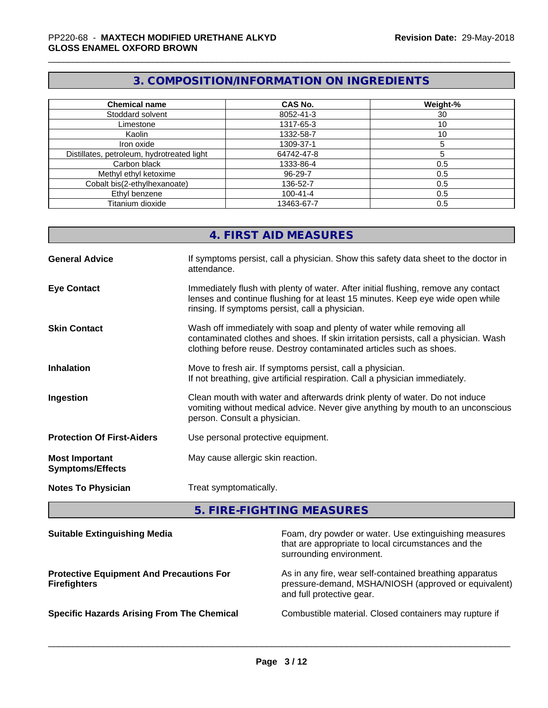# **3. COMPOSITION/INFORMATION ON INGREDIENTS**

| <b>Chemical name</b>                       | <b>CAS No.</b> | Weight-% |
|--------------------------------------------|----------------|----------|
| Stoddard solvent                           | 8052-41-3      | 30       |
| Limestone                                  | 1317-65-3      | 10       |
| Kaolin                                     | 1332-58-7      | 10       |
| Iron oxide                                 | 1309-37-1      |          |
| Distillates, petroleum, hydrotreated light | 64742-47-8     |          |
| Carbon black                               | 1333-86-4      | 0.5      |
| Methyl ethyl ketoxime                      | 96-29-7        | 0.5      |
| Cobalt bis(2-ethylhexanoate)               | 136-52-7       | 0.5      |
| Ethyl benzene                              | $100 - 41 - 4$ | 0.5      |
| Titanium dioxide                           | 13463-67-7     | 0.5      |

|                                                  | 4. FIRST AID MEASURES                                                                                                                                                                                                               |
|--------------------------------------------------|-------------------------------------------------------------------------------------------------------------------------------------------------------------------------------------------------------------------------------------|
| <b>General Advice</b>                            | If symptoms persist, call a physician. Show this safety data sheet to the doctor in<br>attendance.                                                                                                                                  |
| <b>Eye Contact</b>                               | Immediately flush with plenty of water. After initial flushing, remove any contact<br>lenses and continue flushing for at least 15 minutes. Keep eye wide open while<br>rinsing. If symptoms persist, call a physician.             |
| <b>Skin Contact</b>                              | Wash off immediately with soap and plenty of water while removing all<br>contaminated clothes and shoes. If skin irritation persists, call a physician. Wash<br>clothing before reuse. Destroy contaminated articles such as shoes. |
| <b>Inhalation</b>                                | Move to fresh air. If symptoms persist, call a physician.<br>If not breathing, give artificial respiration. Call a physician immediately.                                                                                           |
| Ingestion                                        | Clean mouth with water and afterwards drink plenty of water. Do not induce<br>vomiting without medical advice. Never give anything by mouth to an unconscious<br>person. Consult a physician.                                       |
| <b>Protection Of First-Aiders</b>                | Use personal protective equipment.                                                                                                                                                                                                  |
| <b>Most Important</b><br><b>Symptoms/Effects</b> | May cause allergic skin reaction.                                                                                                                                                                                                   |
| <b>Notes To Physician</b>                        | Treat symptomatically.                                                                                                                                                                                                              |
|                                                  |                                                                                                                                                                                                                                     |

**5. FIRE-FIGHTING MEASURES**

| <b>Suitable Extinguishing Media</b>                                    | Foam, dry powder or water. Use extinguishing measures<br>that are appropriate to local circumstances and the<br>surrounding environment.     |
|------------------------------------------------------------------------|----------------------------------------------------------------------------------------------------------------------------------------------|
| <b>Protective Equipment And Precautions For</b><br><b>Firefighters</b> | As in any fire, wear self-contained breathing apparatus<br>pressure-demand, MSHA/NIOSH (approved or equivalent)<br>and full protective gear. |
| <b>Specific Hazards Arising From The Chemical</b>                      | Combustible material. Closed containers may rupture if                                                                                       |
|                                                                        |                                                                                                                                              |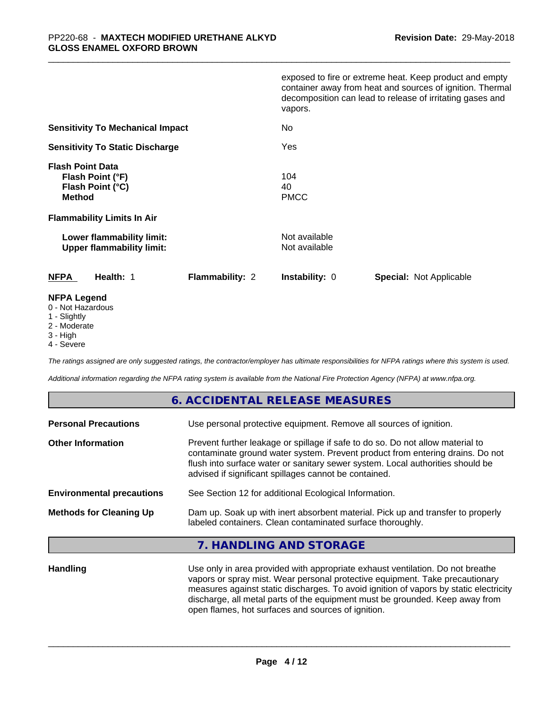|                                                                                                                       | exposed to fire or extreme heat. Keep product and empty<br>container away from heat and sources of ignition. Thermal<br>decomposition can lead to release of irritating gases and<br>vapors. |
|-----------------------------------------------------------------------------------------------------------------------|----------------------------------------------------------------------------------------------------------------------------------------------------------------------------------------------|
| <b>Sensitivity To Mechanical Impact</b>                                                                               | No.                                                                                                                                                                                          |
| <b>Sensitivity To Static Discharge</b>                                                                                | Yes                                                                                                                                                                                          |
| <b>Flash Point Data</b><br>Flash Point (°F)<br>Flash Point (°C)<br><b>Method</b><br><b>Flammability Limits In Air</b> | 104<br>40<br><b>PMCC</b>                                                                                                                                                                     |
| Lower flammability limit:<br><b>Upper flammability limit:</b>                                                         | Not available<br>Not available                                                                                                                                                               |
| <b>NFPA</b><br>Health: 1<br><b>Flammability: 2</b>                                                                    | <b>Instability: 0</b><br><b>Special: Not Applicable</b>                                                                                                                                      |
| <b>NFPA Legend</b>                                                                                                    |                                                                                                                                                                                              |

- 0 Not Hazardous
- 1 Slightly
- 2 Moderate
- 3 High
- 4 Severe

*The ratings assigned are only suggested ratings, the contractor/employer has ultimate responsibilities for NFPA ratings where this system is used.*

*Additional information regarding the NFPA rating system is available from the National Fire Protection Agency (NFPA) at www.nfpa.org.*

# **6. ACCIDENTAL RELEASE MEASURES**

| Use personal protective equipment. Remove all sources of ignition.                                                                                                                                                                                                                                         |
|------------------------------------------------------------------------------------------------------------------------------------------------------------------------------------------------------------------------------------------------------------------------------------------------------------|
| Prevent further leakage or spillage if safe to do so. Do not allow material to<br>contaminate ground water system. Prevent product from entering drains. Do not<br>flush into surface water or sanitary sewer system. Local authorities should be<br>advised if significant spillages cannot be contained. |
| See Section 12 for additional Ecological Information.                                                                                                                                                                                                                                                      |
| Dam up. Soak up with inert absorbent material. Pick up and transfer to properly<br>labeled containers. Clean contaminated surface thoroughly.                                                                                                                                                              |
|                                                                                                                                                                                                                                                                                                            |

# **7. HANDLING AND STORAGE**

**Handling** Use only in area provided with appropriate exhaust ventilation. Do not breathe vapors or spray mist. Wear personal protective equipment. Take precautionary measures against static discharges. To avoid ignition of vapors by static electricity discharge, all metal parts of the equipment must be grounded. Keep away from open flames, hot surfaces and sources of ignition.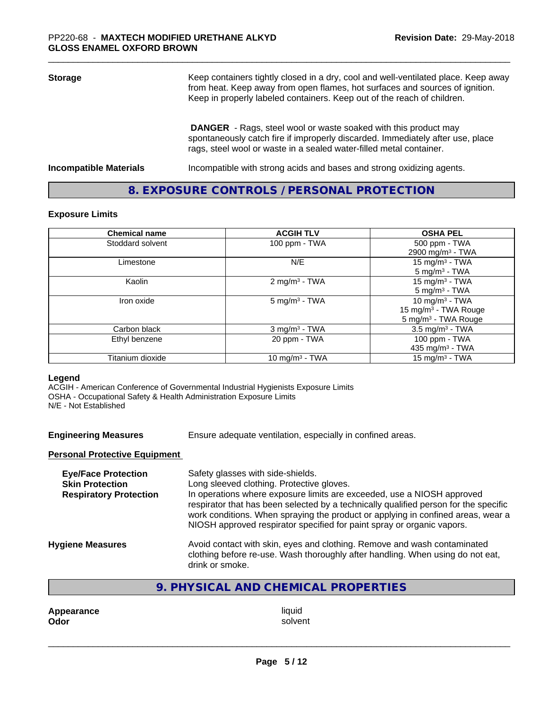| <b>Storage</b>                | Keep containers tightly closed in a dry, cool and well-ventilated place. Keep away<br>from heat. Keep away from open flames, hot surfaces and sources of ignition.<br>Keep in properly labeled containers. Keep out of the reach of children. |
|-------------------------------|-----------------------------------------------------------------------------------------------------------------------------------------------------------------------------------------------------------------------------------------------|
|                               | <b>DANGER</b> - Rags, steel wool or waste soaked with this product may<br>spontaneously catch fire if improperly discarded. Immediately after use, place<br>rags, steel wool or waste in a sealed water-filled metal container.               |
| <b>Incompatible Materials</b> | Incompatible with strong acids and bases and strong oxidizing agents.                                                                                                                                                                         |

# **8. EXPOSURE CONTROLS / PERSONAL PROTECTION**

### **Exposure Limits**

| <b>Chemical name</b> | <b>ACGIH TLV</b>            | <b>OSHA PEL</b>                  |
|----------------------|-----------------------------|----------------------------------|
| Stoddard solvent     | 100 ppm - TWA               | 500 ppm - TWA                    |
|                      |                             | 2900 mg/m <sup>3</sup> - TWA     |
| Limestone            | N/E                         | 15 mg/m $3$ - TWA                |
|                      |                             | $5 \text{ mg/m}^3$ - TWA         |
| Kaolin               | 2 mg/m <sup>3</sup> - TWA   | 15 mg/m $3$ - TWA                |
|                      |                             | $5$ mg/m <sup>3</sup> - TWA      |
| Iron oxide           | $5$ mg/m <sup>3</sup> - TWA | 10 mg/m $3$ - TWA                |
|                      |                             | 15 mg/m <sup>3</sup> - TWA Rouge |
|                      |                             | 5 mg/m <sup>3</sup> - TWA Rouge  |
| Carbon black         | $3$ mg/m <sup>3</sup> - TWA | $3.5 \text{ mg/m}^3$ - TWA       |
| Ethyl benzene        | 20 ppm - TWA                | 100 ppm - TWA                    |
|                      |                             | 435 mg/m $3$ - TWA               |
| Titanium dioxide     | 10 mg/m $3$ - TWA           | 15 mg/m <sup>3</sup> - TWA       |

### **Legend**

ACGIH - American Conference of Governmental Industrial Hygienists Exposure Limits OSHA - Occupational Safety & Health Administration Exposure Limits N/E - Not Established

**Engineering Measures** Ensure adequate ventilation, especially in confined areas.

# **Personal Protective Equipment**

| <b>Eye/Face Protection</b><br><b>Skin Protection</b><br><b>Respiratory Protection</b> | Safety glasses with side-shields.<br>Long sleeved clothing. Protective gloves.<br>In operations where exposure limits are exceeded, use a NIOSH approved<br>respirator that has been selected by a technically qualified person for the specific<br>work conditions. When spraying the product or applying in confined areas, wear a<br>NIOSH approved respirator specified for paint spray or organic vapors. |
|---------------------------------------------------------------------------------------|----------------------------------------------------------------------------------------------------------------------------------------------------------------------------------------------------------------------------------------------------------------------------------------------------------------------------------------------------------------------------------------------------------------|
| <b>Hygiene Measures</b>                                                               | Avoid contact with skin, eyes and clothing. Remove and wash contaminated<br>clothing before re-use. Wash thoroughly after handling. When using do not eat,<br>drink or smoke.                                                                                                                                                                                                                                  |

# **9. PHYSICAL AND CHEMICAL PROPERTIES**

**Appearance** liquid and **a liquid contract of the set of the set of the set of the set of the set of the set of the set of the set of the set of the set of the set of the set of the set of the set of the set of the set of Odor** solvent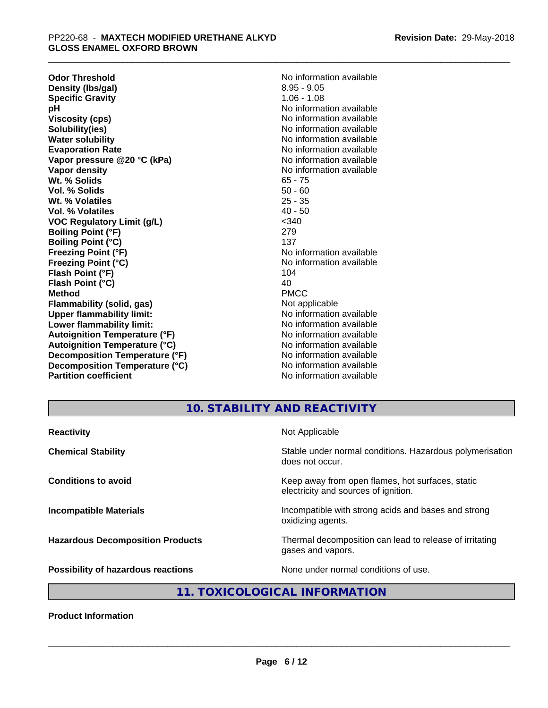**Odor Threshold**<br> **Density (Ibs/gal)**<br> **Density (Ibs/gal)**<br> **No information available**<br>  $8.95 - 9.05$ **Density (Ibs/gal)** 8.95 - 9.05<br> **Specific Gravity** 8.95 - 1.06 - 1.08 **Specific Gravity**<br>pH **Viscosity (cps)** No information available **Solubility(ies)** No information available in the solution of the solution of the solution available in the solution of the solution of the solution of the solution of the solution of the solution of the solution of the so **Water solubility** No information available **Evaporation Rate No information available No information available Vapor pressure @20 °C (kPa)** No information available **Vapor density No information available No information available Wt. % Solids** 65 - 75 **Vol. % Solids** 50 - 60 **Wt. % Volatiles** 25 - 35<br> **Vol. % Volatiles** 25 - 35 **Vol. % Volatiles VOC Regulatory Limit (g/L)** <340 **Boiling Point (°F)** 279 **Boiling Point (°C)** 137 **Freezing Point (°F)** The state of the Monometer No information available **Freezing Point (°C)** No information available **Flash Point (°F)** 104 **Flash Point (°C)** 40 **Method** PMCC **Flammability (solid, gas)** Not applicable **Upper flammability limit:**<br> **Lower flammability limit:** No information available **Lower flammability limit:**<br> **Autoignition Temperature (°F)** No information available<br>
No information available **Autoignition Temperature (°F) Autoignition Temperature (°C)** No information available **Decomposition Temperature (°F)** No information available **Decomposition Temperature (°C)** No information available **Partition coefficient** and the settlement of the No information available

**No information available** 

# **10. STABILITY AND REACTIVITY**

| Stable under normal conditions. Hazardous polymerisation<br>does not occur.<br>Keep away from open flames, hot surfaces, static<br>electricity and sources of ignition.<br>Incompatible with strong acids and bases and strong<br>oxidizing agents.<br>Thermal decomposition can lead to release of irritating<br>gases and vapors. | <b>Reactivity</b>                       | Not Applicable                       |
|-------------------------------------------------------------------------------------------------------------------------------------------------------------------------------------------------------------------------------------------------------------------------------------------------------------------------------------|-----------------------------------------|--------------------------------------|
|                                                                                                                                                                                                                                                                                                                                     | <b>Chemical Stability</b>               |                                      |
|                                                                                                                                                                                                                                                                                                                                     | <b>Conditions to avoid</b>              |                                      |
|                                                                                                                                                                                                                                                                                                                                     | <b>Incompatible Materials</b>           |                                      |
|                                                                                                                                                                                                                                                                                                                                     | <b>Hazardous Decomposition Products</b> |                                      |
|                                                                                                                                                                                                                                                                                                                                     | Possibility of hazardous reactions      | None under normal conditions of use. |

# **11. TOXICOLOGICAL INFORMATION**

**Product Information**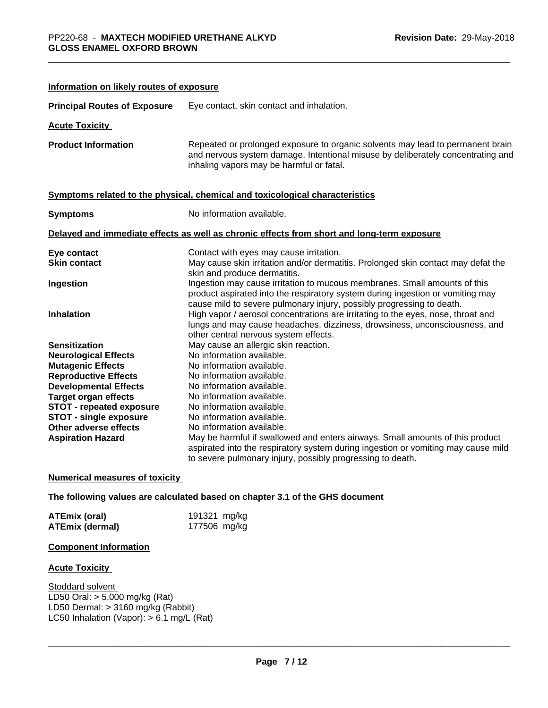| Information on likely routes of exposure |                                                                                                                                                                                                                                      |  |  |
|------------------------------------------|--------------------------------------------------------------------------------------------------------------------------------------------------------------------------------------------------------------------------------------|--|--|
| <b>Principal Routes of Exposure</b>      | Eye contact, skin contact and inhalation.                                                                                                                                                                                            |  |  |
| <b>Acute Toxicity</b>                    |                                                                                                                                                                                                                                      |  |  |
| <b>Product Information</b>               | Repeated or prolonged exposure to organic solvents may lead to permanent brain<br>and nervous system damage. Intentional misuse by deliberately concentrating and<br>inhaling vapors may be harmful or fatal.                        |  |  |
|                                          | Symptoms related to the physical, chemical and toxicological characteristics                                                                                                                                                         |  |  |
| <b>Symptoms</b>                          | No information available.                                                                                                                                                                                                            |  |  |
|                                          | Delayed and immediate effects as well as chronic effects from short and long-term exposure                                                                                                                                           |  |  |
| Eye contact                              | Contact with eyes may cause irritation.                                                                                                                                                                                              |  |  |
| <b>Skin contact</b>                      | May cause skin irritation and/or dermatitis. Prolonged skin contact may defat the<br>skin and produce dermatitis.                                                                                                                    |  |  |
| Ingestion                                | Ingestion may cause irritation to mucous membranes. Small amounts of this<br>product aspirated into the respiratory system during ingestion or vomiting may<br>cause mild to severe pulmonary injury, possibly progressing to death. |  |  |
| <b>Inhalation</b>                        | High vapor / aerosol concentrations are irritating to the eyes, nose, throat and<br>lungs and may cause headaches, dizziness, drowsiness, unconsciousness, and<br>other central nervous system effects.                              |  |  |
| <b>Sensitization</b>                     | May cause an allergic skin reaction.                                                                                                                                                                                                 |  |  |
| <b>Neurological Effects</b>              | No information available.                                                                                                                                                                                                            |  |  |
| <b>Mutagenic Effects</b>                 | No information available.                                                                                                                                                                                                            |  |  |
| <b>Reproductive Effects</b>              | No information available.                                                                                                                                                                                                            |  |  |
| <b>Developmental Effects</b>             | No information available.                                                                                                                                                                                                            |  |  |
| <b>Target organ effects</b>              | No information available.                                                                                                                                                                                                            |  |  |
| <b>STOT - repeated exposure</b>          | No information available.                                                                                                                                                                                                            |  |  |
| <b>STOT - single exposure</b>            | No information available.                                                                                                                                                                                                            |  |  |
| <b>Other adverse effects</b>             | No information available.                                                                                                                                                                                                            |  |  |
| <b>Aspiration Hazard</b>                 | May be harmful if swallowed and enters airways. Small amounts of this product<br>aspirated into the respiratory system during ingestion or vomiting may cause mild<br>to severe pulmonary injury, possibly progressing to death.     |  |  |

### **Numerical measures of toxicity**

**The following values are calculated based on chapter 3.1 of the GHS document**

| <b>ATEmix (oral)</b> | 191321 mg/kg |  |
|----------------------|--------------|--|
| ATEmix (dermal)      | 177506 mg/kg |  |

# **Component Information**

# **Acute Toxicity**

**Stoddard solvent** LD50 Oral: > 5,000 mg/kg (Rat) LD50 Dermal: > 3160 mg/kg (Rabbit) LC50 Inhalation (Vapor): > 6.1 mg/L (Rat)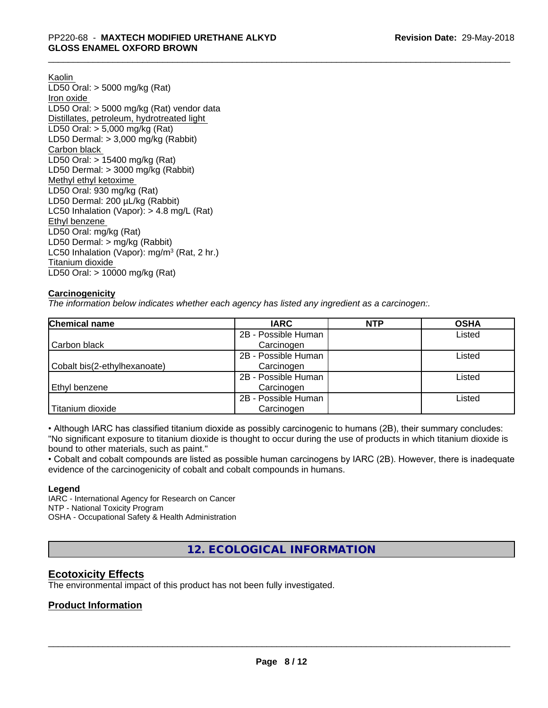Kaolin LD50 Oral: > 5000 mg/kg (Rat) Iron oxide LD50 Oral: > 5000 mg/kg (Rat) vendor data Distillates, petroleum, hydrotreated light LD50 Oral: > 5,000 mg/kg (Rat) LD50 Dermal: > 3,000 mg/kg (Rabbit) Carbon black LD50 Oral: > 15400 mg/kg (Rat) LD50 Dermal: > 3000 mg/kg (Rabbit) Methyl ethyl ketoxime LD50 Oral: 930 mg/kg (Rat) LD50 Dermal: 200 µL/kg (Rabbit) LC50 Inhalation (Vapor): > 4.8 mg/L (Rat) Ethyl benzene LD50 Oral: mg/kg (Rat) LD50 Dermal: > mg/kg (Rabbit) LC50 Inhalation (Vapor): mg/m<sup>3</sup> (Rat, 2 hr.) Titanium dioxide LD50 Oral: > 10000 mg/kg (Rat)

# **Carcinogenicity**

*The information below indicateswhether each agency has listed any ingredient as a carcinogen:.*

| <b>Chemical name</b>         | <b>IARC</b>         | <b>NTP</b> | <b>OSHA</b> |
|------------------------------|---------------------|------------|-------------|
|                              | 2B - Possible Human |            | Listed      |
| Carbon black                 | Carcinogen          |            |             |
|                              | 2B - Possible Human |            | Listed      |
| Cobalt bis(2-ethylhexanoate) | Carcinogen          |            |             |
|                              | 2B - Possible Human |            | Listed      |
| Ethyl benzene                | Carcinogen          |            |             |
|                              | 2B - Possible Human |            | Listed      |
| Titanium dioxide             | Carcinogen          |            |             |

• Although IARC has classified titanium dioxide as possibly carcinogenic to humans (2B), their summary concludes: "No significant exposure to titanium dioxide is thought to occur during the use of products in which titanium dioxide is bound to other materials, such as paint."

• Cobalt and cobalt compounds are listed as possible human carcinogens by IARC (2B). However, there is inadequate evidence of the carcinogenicity of cobalt and cobalt compounds in humans.

### **Legend**

IARC - International Agency for Research on Cancer NTP - National Toxicity Program OSHA - Occupational Safety & Health Administration

**12. ECOLOGICAL INFORMATION**

# **Ecotoxicity Effects**

The environmental impact of this product has not been fully investigated.

# **Product Information**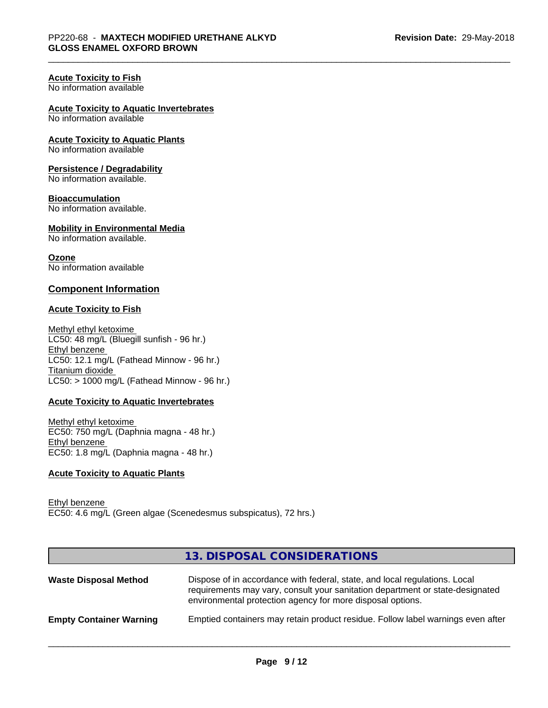# **Acute Toxicity to Fish**

No information available

#### **Acute Toxicity to Aquatic Invertebrates**

No information available

# **Acute Toxicity to Aquatic Plants**

No information available

### **Persistence / Degradability**

No information available.

#### **Bioaccumulation**

No information available.

# **Mobility in Environmental Media**

No information available.

### **Ozone**

No information available

### **Component Information**

### **Acute Toxicity to Fish**

Methyl ethyl ketoxime LC50: 48 mg/L (Bluegill sunfish - 96 hr.) Ethyl benzene LC50: 12.1 mg/L (Fathead Minnow - 96 hr.) Titanium dioxide  $LC50:$  > 1000 mg/L (Fathead Minnow - 96 hr.)

# **Acute Toxicity to Aquatic Invertebrates**

Methyl ethyl ketoxime EC50: 750 mg/L (Daphnia magna - 48 hr.) Ethyl benzene EC50: 1.8 mg/L (Daphnia magna - 48 hr.)

# **Acute Toxicity to Aquatic Plants**

Ethyl benzene EC50: 4.6 mg/L (Green algae (Scenedesmus subspicatus), 72 hrs.)

# **13. DISPOSAL CONSIDERATIONS**

| <b>Waste Disposal Method</b>   | Dispose of in accordance with federal, state, and local regulations. Local<br>requirements may vary, consult your sanitation department or state-designated<br>environmental protection agency for more disposal options. |
|--------------------------------|---------------------------------------------------------------------------------------------------------------------------------------------------------------------------------------------------------------------------|
| <b>Empty Container Warning</b> | Emptied containers may retain product residue. Follow label warnings even after                                                                                                                                           |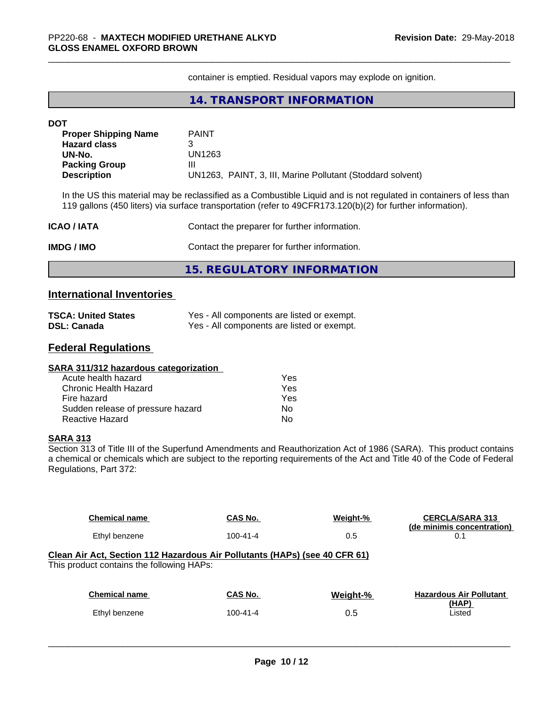container is emptied. Residual vapors may explode on ignition.

# **14. TRANSPORT INFORMATION**

| <b>DOT</b>                  |                                                                                                                                                                                                                                   |  |  |
|-----------------------------|-----------------------------------------------------------------------------------------------------------------------------------------------------------------------------------------------------------------------------------|--|--|
| <b>Proper Shipping Name</b> | <b>PAINT</b>                                                                                                                                                                                                                      |  |  |
| <b>Hazard class</b>         | 3                                                                                                                                                                                                                                 |  |  |
| UN-No.<br>UN1263            |                                                                                                                                                                                                                                   |  |  |
| <b>Packing Group</b>        | Ш                                                                                                                                                                                                                                 |  |  |
| <b>Description</b>          | UN1263, PAINT, 3, III, Marine Pollutant (Stoddard solvent)                                                                                                                                                                        |  |  |
|                             | In the US this material may be reclassified as a Combustible Liquid and is not regulated in containers of less than<br>119 gallons (450 liters) via surface transportation (refer to 49CFR173.120(b)(2) for further information). |  |  |
| <b>ICAO / IATA</b>          | Contact the preparer for further information.                                                                                                                                                                                     |  |  |
| <b>IMDG / IMO</b>           | Contact the preparer for further information.                                                                                                                                                                                     |  |  |

**15. REGULATORY INFORMATION**

# **International Inventories**

| <b>TSCA: United States</b> | Yes - All components are listed or exempt. |
|----------------------------|--------------------------------------------|
| <b>DSL: Canada</b>         | Yes - All components are listed or exempt. |

# **Federal Regulations**

#### **SARA 311/312 hazardous categorization**

| Acute health hazard               | Yes |  |
|-----------------------------------|-----|--|
| Chronic Health Hazard             | Yes |  |
| Fire hazard                       | Yes |  |
| Sudden release of pressure hazard | N٥  |  |
| Reactive Hazard                   | N٥  |  |

# **SARA 313**

Section 313 of Title III of the Superfund Amendments and Reauthorization Act of 1986 (SARA). This product contains a chemical or chemicals which are subject to the reporting requirements of the Act and Title 40 of the Code of Federal Regulations, Part 372:

| <b>Chemical name</b>                                                                                                    | CAS No.        | Weight-% | <b>CERCLA/SARA 313</b><br>(de minimis concentration) |
|-------------------------------------------------------------------------------------------------------------------------|----------------|----------|------------------------------------------------------|
| Ethyl benzene                                                                                                           | $100 - 41 - 4$ | 0.5      | 0.1                                                  |
| Clean Air Act, Section 112 Hazardous Air Pollutants (HAPs) (see 40 CFR 61)<br>This product contains the following HAPs: |                |          |                                                      |
| <b>Chemical name</b>                                                                                                    | CAS No.        | Weight-% | <b>Hazardous Air Pollutant</b>                       |
| Ethyl benzene                                                                                                           | $100 - 41 - 4$ | 0.5      | (HAP)<br>Listed                                      |
|                                                                                                                         |                |          |                                                      |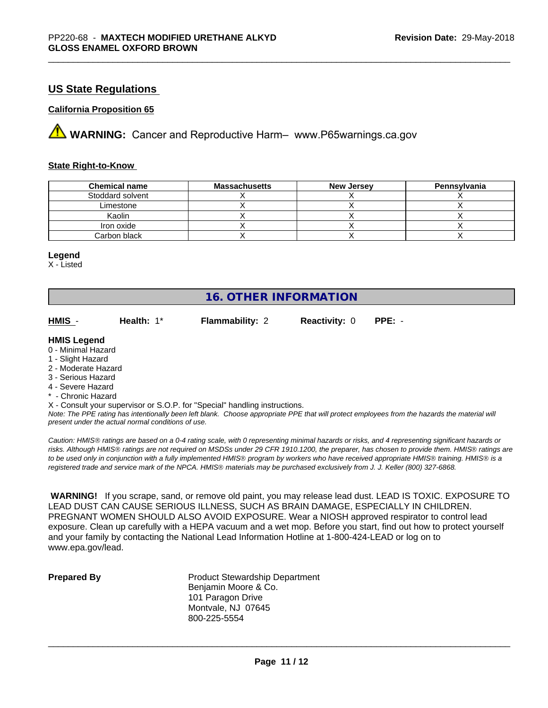# **US State Regulations**

# **California Proposition 65**

**A** WARNING: Cancer and Reproductive Harm– www.P65warnings.ca.gov

### **State Right-to-Know**

| <b>Chemical name</b> | <b>Massachusetts</b> | <b>New Jersey</b> | Pennsylvania |
|----------------------|----------------------|-------------------|--------------|
| Stoddard solvent     |                      |                   |              |
| Limestone            |                      |                   |              |
| Kaolin               |                      |                   |              |
| Iron oxide           |                      |                   |              |
| Carbon black         |                      |                   |              |

#### **Legend**

X - Listed

# **16. OTHER INFORMATION**

| HMIS | Health: $1^*$ | <b>Flammability: 2</b> | <b>Reactivity: 0 PPE: -</b> |  |
|------|---------------|------------------------|-----------------------------|--|
|      |               |                        |                             |  |

### **HMIS Legend**

0 - Minimal Hazard

- 1 Slight Hazard
- 2 Moderate Hazard
- 3 Serious Hazard
- 4 Severe Hazard
- \* Chronic Hazard
- X Consult your supervisor or S.O.P. for "Special" handling instructions.

*Note: The PPE rating has intentionally been left blank. Choose appropriate PPE that will protect employees from the hazards the material will present under the actual normal conditions of use.*

*Caution: HMISÒ ratings are based on a 0-4 rating scale, with 0 representing minimal hazards or risks, and 4 representing significant hazards or risks. Although HMISÒ ratings are not required on MSDSs under 29 CFR 1910.1200, the preparer, has chosen to provide them. HMISÒ ratings are to be used only in conjunction with a fully implemented HMISÒ program by workers who have received appropriate HMISÒ training. HMISÒ is a registered trade and service mark of the NPCA. HMISÒ materials may be purchased exclusively from J. J. Keller (800) 327-6868.*

 **WARNING!** If you scrape, sand, or remove old paint, you may release lead dust. LEAD IS TOXIC. EXPOSURE TO LEAD DUST CAN CAUSE SERIOUS ILLNESS, SUCH AS BRAIN DAMAGE, ESPECIALLY IN CHILDREN. PREGNANT WOMEN SHOULD ALSO AVOID EXPOSURE. Wear a NIOSH approved respirator to control lead exposure. Clean up carefully with a HEPA vacuum and a wet mop. Before you start, find out how to protect yourself and your family by contacting the National Lead Information Hotline at 1-800-424-LEAD or log on to www.epa.gov/lead.

**Prepared By** Product Stewardship Department Benjamin Moore & Co. 101 Paragon Drive Montvale, NJ 07645 800-225-5554